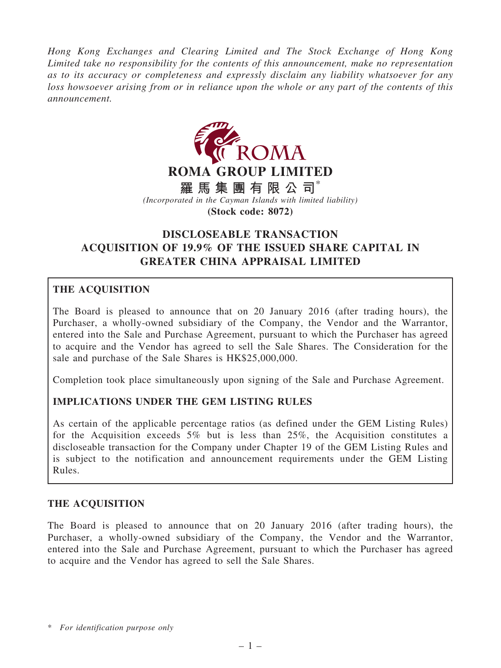Hong Kong Exchanges and Clearing Limited and The Stock Exchange of Hong Kong Limited take no responsibility for the contents of this announcement, make no representation as to its accuracy or completeness and expressly disclaim any liability whatsoever for any loss howsoever arising from or in reliance upon the whole or any part of the contents of this announcement.



# DISCLOSEABLE TRANSACTION ACQUISITION OF 19.9% OF THE ISSUED SHARE CAPITAL IN GREATER CHINA APPRAISAL LIMITED

## THE ACQUISITION

The Board is pleased to announce that on 20 January 2016 (after trading hours), the Purchaser, a wholly-owned subsidiary of the Company, the Vendor and the Warrantor, entered into the Sale and Purchase Agreement, pursuant to which the Purchaser has agreed to acquire and the Vendor has agreed to sell the Sale Shares. The Consideration for the sale and purchase of the Sale Shares is HK\$25,000,000.

Completion took place simultaneously upon signing of the Sale and Purchase Agreement.

## IMPLICATIONS UNDER THE GEM LISTING RULES

As certain of the applicable percentage ratios (as defined under the GEM Listing Rules) for the Acquisition exceeds 5% but is less than 25%, the Acquisition constitutes a discloseable transaction for the Company under Chapter 19 of the GEM Listing Rules and is subject to the notification and announcement requirements under the GEM Listing Rules.

## THE ACQUISITION

The Board is pleased to announce that on 20 January 2016 (after trading hours), the Purchaser, a wholly-owned subsidiary of the Company, the Vendor and the Warrantor, entered into the Sale and Purchase Agreement, pursuant to which the Purchaser has agreed to acquire and the Vendor has agreed to sell the Sale Shares.

<sup>\*</sup> For identification purpose only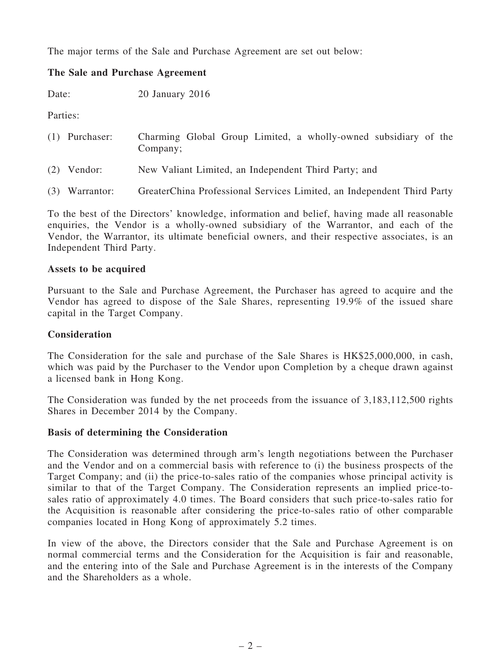The major terms of the Sale and Purchase Agreement are set out below:

## The Sale and Purchase Agreement

Date: 20 January 2016

Parties:

| $(1)$ Purchaser: | Charming Global Group Limited, a wholly-owned subsidiary of the<br>Company; |
|------------------|-----------------------------------------------------------------------------|
| $(2)$ Vendor:    | New Valiant Limited, an Independent Third Party; and                        |

(3) Warrantor: GreaterChina Professional Services Limited, an Independent Third Party

To the best of the Directors' knowledge, information and belief, having made all reasonable enquiries, the Vendor is a wholly-owned subsidiary of the Warrantor, and each of the Vendor, the Warrantor, its ultimate beneficial owners, and their respective associates, is an Independent Third Party.

#### Assets to be acquired

Pursuant to the Sale and Purchase Agreement, the Purchaser has agreed to acquire and the Vendor has agreed to dispose of the Sale Shares, representing 19.9% of the issued share capital in the Target Company.

#### **Consideration**

The Consideration for the sale and purchase of the Sale Shares is HK\$25,000,000, in cash, which was paid by the Purchaser to the Vendor upon Completion by a cheque drawn against a licensed bank in Hong Kong.

The Consideration was funded by the net proceeds from the issuance of 3,183,112,500 rights Shares in December 2014 by the Company.

#### Basis of determining the Consideration

The Consideration was determined through arm's length negotiations between the Purchaser and the Vendor and on a commercial basis with reference to (i) the business prospects of the Target Company; and (ii) the price-to-sales ratio of the companies whose principal activity is similar to that of the Target Company. The Consideration represents an implied price-tosales ratio of approximately 4.0 times. The Board considers that such price-to-sales ratio for the Acquisition is reasonable after considering the price-to-sales ratio of other comparable companies located in Hong Kong of approximately 5.2 times.

In view of the above, the Directors consider that the Sale and Purchase Agreement is on normal commercial terms and the Consideration for the Acquisition is fair and reasonable, and the entering into of the Sale and Purchase Agreement is in the interests of the Company and the Shareholders as a whole.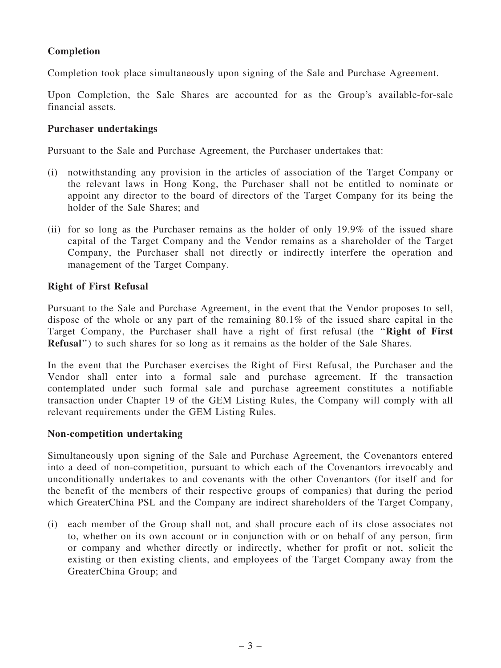## Completion

Completion took place simultaneously upon signing of the Sale and Purchase Agreement.

Upon Completion, the Sale Shares are accounted for as the Group's available-for-sale financial assets.

### Purchaser undertakings

Pursuant to the Sale and Purchase Agreement, the Purchaser undertakes that:

- (i) notwithstanding any provision in the articles of association of the Target Company or the relevant laws in Hong Kong, the Purchaser shall not be entitled to nominate or appoint any director to the board of directors of the Target Company for its being the holder of the Sale Shares; and
- (ii) for so long as the Purchaser remains as the holder of only 19.9% of the issued share capital of the Target Company and the Vendor remains as a shareholder of the Target Company, the Purchaser shall not directly or indirectly interfere the operation and management of the Target Company.

### Right of First Refusal

Pursuant to the Sale and Purchase Agreement, in the event that the Vendor proposes to sell, dispose of the whole or any part of the remaining 80.1% of the issued share capital in the Target Company, the Purchaser shall have a right of first refusal (the ''Right of First Refusal'') to such shares for so long as it remains as the holder of the Sale Shares.

In the event that the Purchaser exercises the Right of First Refusal, the Purchaser and the Vendor shall enter into a formal sale and purchase agreement. If the transaction contemplated under such formal sale and purchase agreement constitutes a notifiable transaction under Chapter 19 of the GEM Listing Rules, the Company will comply with all relevant requirements under the GEM Listing Rules.

#### Non-competition undertaking

Simultaneously upon signing of the Sale and Purchase Agreement, the Covenantors entered into a deed of non-competition, pursuant to which each of the Covenantors irrevocably and unconditionally undertakes to and covenants with the other Covenantors (for itself and for the benefit of the members of their respective groups of companies) that during the period which GreaterChina PSL and the Company are indirect shareholders of the Target Company,

(i) each member of the Group shall not, and shall procure each of its close associates not to, whether on its own account or in conjunction with or on behalf of any person, firm or company and whether directly or indirectly, whether for profit or not, solicit the existing or then existing clients, and employees of the Target Company away from the GreaterChina Group; and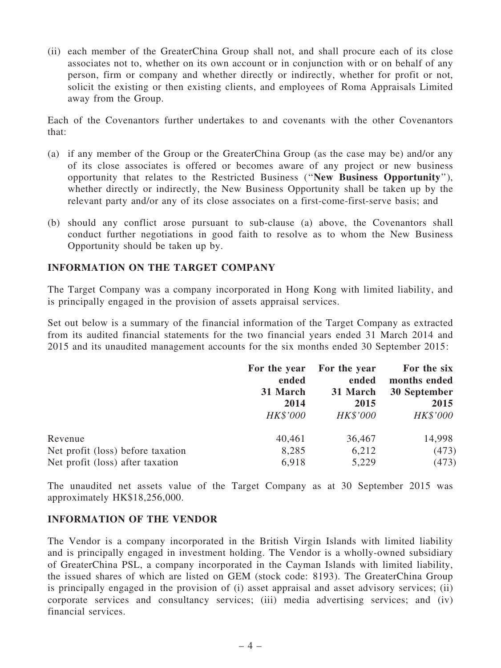(ii) each member of the GreaterChina Group shall not, and shall procure each of its close associates not to, whether on its own account or in conjunction with or on behalf of any person, firm or company and whether directly or indirectly, whether for profit or not, solicit the existing or then existing clients, and employees of Roma Appraisals Limited away from the Group.

Each of the Covenantors further undertakes to and covenants with the other Covenantors that:

- (a) if any member of the Group or the GreaterChina Group (as the case may be) and/or any of its close associates is offered or becomes aware of any project or new business opportunity that relates to the Restricted Business (''New Business Opportunity''), whether directly or indirectly, the New Business Opportunity shall be taken up by the relevant party and/or any of its close associates on a first-come-first-serve basis; and
- (b) should any conflict arose pursuant to sub-clause (a) above, the Covenantors shall conduct further negotiations in good faith to resolve as to whom the New Business Opportunity should be taken up by.

### INFORMATION ON THE TARGET COMPANY

The Target Company was a company incorporated in Hong Kong with limited liability, and is principally engaged in the provision of assets appraisal services.

Set out below is a summary of the financial information of the Target Company as extracted from its audited financial statements for the two financial years ended 31 March 2014 and 2015 and its unaudited management accounts for the six months ended 30 September 2015:

|                                   | For the year<br>ended<br>31 March | For the year<br>ended<br>31 March | For the six<br>months ended<br>30 September |
|-----------------------------------|-----------------------------------|-----------------------------------|---------------------------------------------|
|                                   | 2014                              | 2015                              | 2015                                        |
|                                   | HK\$'000                          | <b>HK\$'000</b>                   | HK\$'000                                    |
| Revenue                           | 40,461                            | 36,467                            | 14,998                                      |
| Net profit (loss) before taxation | 8,285                             | 6,212                             | (473)                                       |
| Net profit (loss) after taxation  | 6,918                             | 5,229                             | (473)                                       |

The unaudited net assets value of the Target Company as at 30 September 2015 was approximately HK\$18,256,000.

#### INFORMATION OF THE VENDOR

The Vendor is a company incorporated in the British Virgin Islands with limited liability and is principally engaged in investment holding. The Vendor is a wholly-owned subsidiary of GreaterChina PSL, a company incorporated in the Cayman Islands with limited liability, the issued shares of which are listed on GEM (stock code: 8193). The GreaterChina Group is principally engaged in the provision of (i) asset appraisal and asset advisory services; (ii) corporate services and consultancy services; (iii) media advertising services; and (iv) financial services.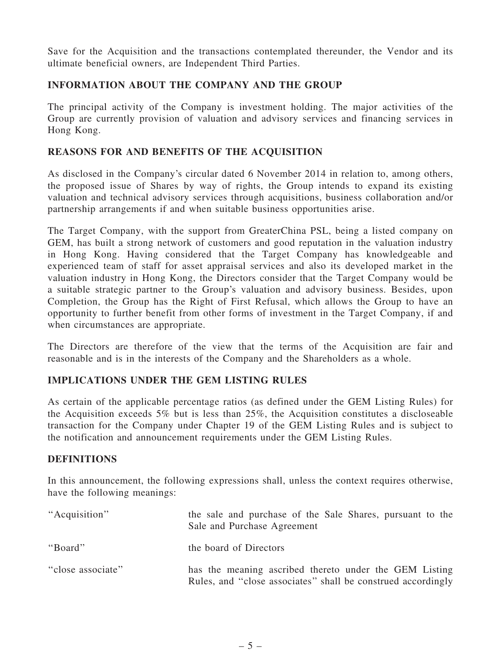Save for the Acquisition and the transactions contemplated thereunder, the Vendor and its ultimate beneficial owners, are Independent Third Parties.

## INFORMATION ABOUT THE COMPANY AND THE GROUP

The principal activity of the Company is investment holding. The major activities of the Group are currently provision of valuation and advisory services and financing services in Hong Kong.

### REASONS FOR AND BENEFITS OF THE ACQUISITION

As disclosed in the Company's circular dated 6 November 2014 in relation to, among others, the proposed issue of Shares by way of rights, the Group intends to expand its existing valuation and technical advisory services through acquisitions, business collaboration and/or partnership arrangements if and when suitable business opportunities arise.

The Target Company, with the support from GreaterChina PSL, being a listed company on GEM, has built a strong network of customers and good reputation in the valuation industry in Hong Kong. Having considered that the Target Company has knowledgeable and experienced team of staff for asset appraisal services and also its developed market in the valuation industry in Hong Kong, the Directors consider that the Target Company would be a suitable strategic partner to the Group's valuation and advisory business. Besides, upon Completion, the Group has the Right of First Refusal, which allows the Group to have an opportunity to further benefit from other forms of investment in the Target Company, if and when circumstances are appropriate.

The Directors are therefore of the view that the terms of the Acquisition are fair and reasonable and is in the interests of the Company and the Shareholders as a whole.

## IMPLICATIONS UNDER THE GEM LISTING RULES

As certain of the applicable percentage ratios (as defined under the GEM Listing Rules) for the Acquisition exceeds 5% but is less than 25%, the Acquisition constitutes a discloseable transaction for the Company under Chapter 19 of the GEM Listing Rules and is subject to the notification and announcement requirements under the GEM Listing Rules.

#### **DEFINITIONS**

In this announcement, the following expressions shall, unless the context requires otherwise, have the following meanings:

| "Acquisition"     | the sale and purchase of the Sale Shares, pursuant to the<br>Sale and Purchase Agreement                               |
|-------------------|------------------------------------------------------------------------------------------------------------------------|
| "Board"           | the board of Directors                                                                                                 |
| "close associate" | has the meaning ascribed thereto under the GEM Listing<br>Rules, and "close associates" shall be construed accordingly |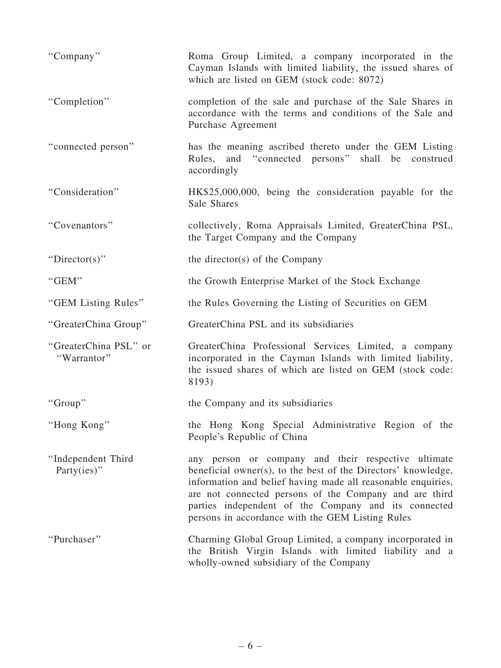| "Company"                             | Roma Group Limited, a company incorporated in the<br>Cayman Islands with limited liability, the issued shares of<br>which are listed on GEM (stock code: 8072)                                                                                                                                                                                             |
|---------------------------------------|------------------------------------------------------------------------------------------------------------------------------------------------------------------------------------------------------------------------------------------------------------------------------------------------------------------------------------------------------------|
| "Completion"                          | completion of the sale and purchase of the Sale Shares in<br>accordance with the terms and conditions of the Sale and<br>Purchase Agreement                                                                                                                                                                                                                |
| "connected person"                    | has the meaning ascribed thereto under the GEM Listing<br>Rules, and "connected persons" shall be construed<br>accordingly                                                                                                                                                                                                                                 |
| "Consideration"                       | HK\$25,000,000, being the consideration payable for the<br>Sale Shares                                                                                                                                                                                                                                                                                     |
| "Covenantors"                         | collectively, Roma Appraisals Limited, GreaterChina PSL,<br>the Target Company and the Company                                                                                                                                                                                                                                                             |
| "Director(s)"                         | the director(s) of the Company                                                                                                                                                                                                                                                                                                                             |
| "GEM"                                 | the Growth Enterprise Market of the Stock Exchange                                                                                                                                                                                                                                                                                                         |
| "GEM Listing Rules"                   | the Rules Governing the Listing of Securities on GEM                                                                                                                                                                                                                                                                                                       |
| "GreaterChina Group"                  | GreaterChina PSL and its subsidiaries                                                                                                                                                                                                                                                                                                                      |
| "GreaterChina PSL" or<br>"Warrantor"  | GreaterChina Professional Services Limited, a company<br>incorporated in the Cayman Islands with limited liability,<br>the issued shares of which are listed on GEM (stock code:<br>8193)                                                                                                                                                                  |
| "Group"                               | the Company and its subsidiaries                                                                                                                                                                                                                                                                                                                           |
| "Hong Kong"                           | the Hong Kong Special Administrative Region of the<br>People's Republic of China                                                                                                                                                                                                                                                                           |
| "Independent Third<br>Party $(ies)$ " | any person or company and their respective ultimate<br>beneficial owner(s), to the best of the Directors' knowledge,<br>information and belief having made all reasonable enquiries,<br>are not connected persons of the Company and are third<br>parties independent of the Company and its connected<br>persons in accordance with the GEM Listing Rules |
| "Purchaser"                           | Charming Global Group Limited, a company incorporated in<br>the British Virgin Islands with limited liability and a<br>wholly-owned subsidiary of the Company                                                                                                                                                                                              |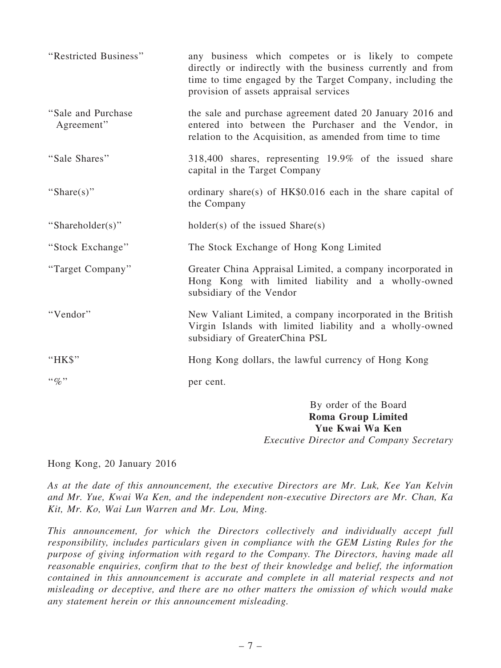| "Restricted Business"            | any business which competes or is likely to compete<br>directly or indirectly with the business currently and from<br>time to time engaged by the Target Company, including the<br>provision of assets appraisal services |
|----------------------------------|---------------------------------------------------------------------------------------------------------------------------------------------------------------------------------------------------------------------------|
| "Sale and Purchase<br>Agreement" | the sale and purchase agreement dated 20 January 2016 and<br>entered into between the Purchaser and the Vendor, in<br>relation to the Acquisition, as amended from time to time                                           |
| "Sale Shares"                    | 318,400 shares, representing 19.9% of the issued share<br>capital in the Target Company                                                                                                                                   |
| "Share(s)"                       | ordinary share(s) of $HK$0.016$ each in the share capital of<br>the Company                                                                                                                                               |
| "Shareholder(s)"                 | $holder(s)$ of the issued $Share(s)$                                                                                                                                                                                      |
| "Stock Exchange"                 | The Stock Exchange of Hong Kong Limited                                                                                                                                                                                   |
| "Target Company"                 | Greater China Appraisal Limited, a company incorporated in<br>Hong Kong with limited liability and a wholly-owned<br>subsidiary of the Vendor                                                                             |
| "Vendor"                         | New Valiant Limited, a company incorporated in the British<br>Virgin Islands with limited liability and a wholly-owned<br>subsidiary of GreaterChina PSL                                                                  |
| "HK\$"                           | Hong Kong dollars, the lawful currency of Hong Kong                                                                                                                                                                       |
| $\lq\lq q_0$ "                   | per cent.                                                                                                                                                                                                                 |
|                                  | By order of the Board<br><b>Roma Group Limited</b><br>Yue Kwai Wa Ken                                                                                                                                                     |

Executive Director and Company Secretary

Hong Kong, 20 January 2016

As at the date of this announcement, the executive Directors are Mr. Luk, Kee Yan Kelvin and Mr. Yue, Kwai Wa Ken, and the independent non-executive Directors are Mr. Chan, Ka Kit, Mr. Ko, Wai Lun Warren and Mr. Lou, Ming.

This announcement, for which the Directors collectively and individually accept full responsibility, includes particulars given in compliance with the GEM Listing Rules for the purpose of giving information with regard to the Company. The Directors, having made all reasonable enquiries, confirm that to the best of their knowledge and belief, the information contained in this announcement is accurate and complete in all material respects and not misleading or deceptive, and there are no other matters the omission of which would make any statement herein or this announcement misleading.